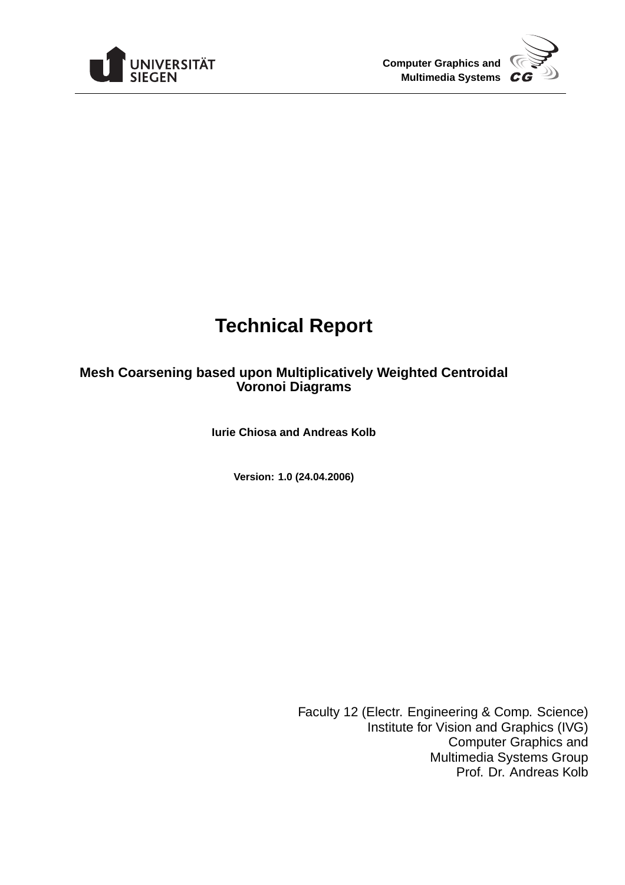



# **Technical Report**

## **Mesh Coarsening based upon Multiplicatively Weighted Centroidal Voronoi Diagrams**

**Iurie Chiosa and Andreas Kolb**

**Version: 1.0 (24.04.2006)**

Faculty 12 (Electr. Engineering & Comp. Science) Institute for Vision and Graphics (IVG) Computer Graphics and Multimedia Systems Group Prof. Dr. Andreas Kolb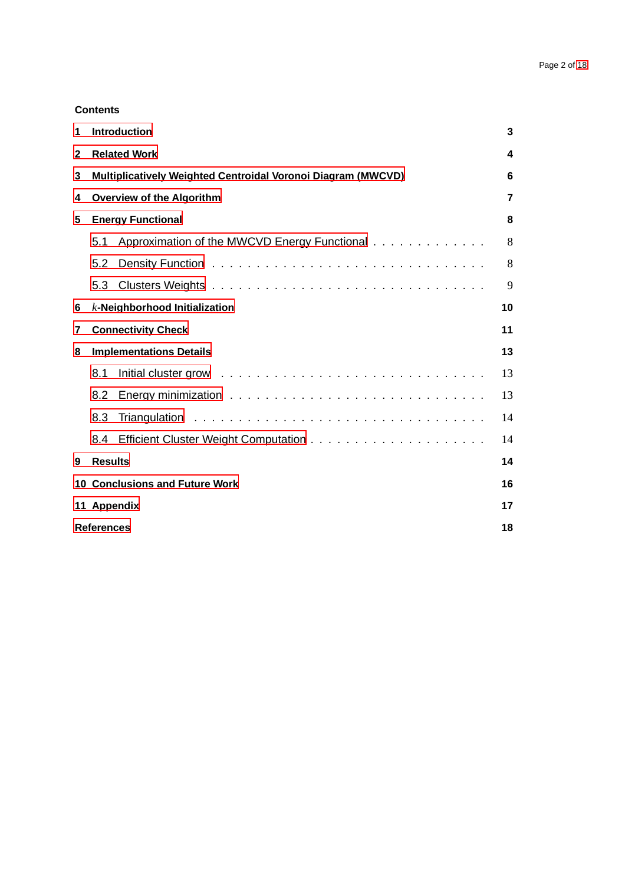## **Contents**

| 1 | <b>Introduction</b>                                                 |                                              |    |  |  |  |  |
|---|---------------------------------------------------------------------|----------------------------------------------|----|--|--|--|--|
| 2 | <b>Related Work</b>                                                 |                                              |    |  |  |  |  |
| 3 | <b>Multiplicatively Weighted Centroidal Voronoi Diagram (MWCVD)</b> |                                              |    |  |  |  |  |
| 4 | <b>Overview of the Algorithm</b>                                    |                                              |    |  |  |  |  |
| 5 | <b>Energy Functional</b>                                            |                                              |    |  |  |  |  |
|   | 5.1                                                                 | Approximation of the MWCVD Energy Functional | 8  |  |  |  |  |
|   | 5.2                                                                 |                                              | 8  |  |  |  |  |
|   | 5.3                                                                 |                                              | 9  |  |  |  |  |
| 6 | $k$ -Neighborhood Initialization<br>10                              |                                              |    |  |  |  |  |
| 7 | <b>Connectivity Check</b>                                           |                                              |    |  |  |  |  |
| 8 | <b>Implementations Details</b>                                      |                                              |    |  |  |  |  |
|   | 8.1                                                                 |                                              | 13 |  |  |  |  |
|   | 8.2                                                                 |                                              | 13 |  |  |  |  |
|   | 8.3                                                                 |                                              | 14 |  |  |  |  |
|   | 8.4                                                                 |                                              | 14 |  |  |  |  |
| 9 | <b>Results</b>                                                      |                                              | 14 |  |  |  |  |
|   | <b>10 Conclusions and Future Work</b><br>16                         |                                              |    |  |  |  |  |
|   | 11 Appendix<br>17                                                   |                                              |    |  |  |  |  |
|   | <b>References</b><br>18                                             |                                              |    |  |  |  |  |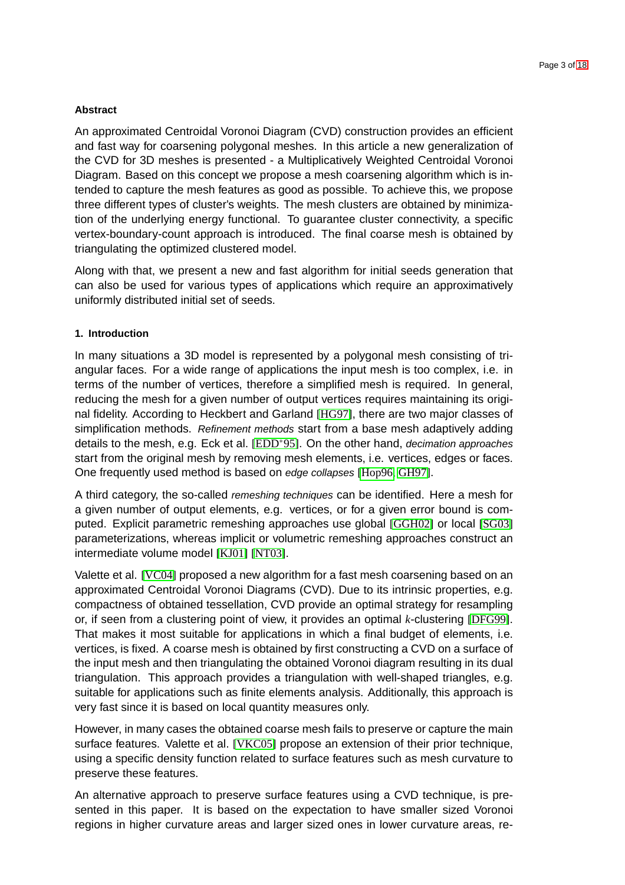## **Abstract**

An approximated Centroidal Voronoi Diagram (CVD) construction provides an efficient and fast way for coarsening polygonal meshes. In this article a new generalization of the CVD for 3D meshes is presented - a Multiplicatively Weighted Centroidal Voronoi Diagram. Based on this concept we propose a mesh coarsening algorithm which is intended to capture the mesh features as good as possible. To achieve this, we propose three different types of cluster's weights. The mesh clusters are obtained by minimization of the underlying energy functional. To guarantee cluster connectivity, a specific vertex-boundary-count approach is introduced. The final coarse mesh is obtained by triangulating the optimized clustered model.

Along with that, we present a new and fast algorithm for initial seeds generation that can also be used for various types of applications which require an approximatively uniformly distributed initial set of seeds.

#### <span id="page-2-0"></span>**1. Introduction**

In many situations a 3D model is represented by a polygonal mesh consisting of triangular faces. For a wide range of applications the input mesh is too complex, i.e. in terms of the number of vertices, therefore a simplified mesh is required. In general, reducing the mesh for a given number of output vertices requires maintaining its original fidelity. According to Heckbert and Garland [\[HG97\]](#page-17-1), there are two major classes of simplification methods. Refinement methods start from a base mesh adaptively adding details to the mesh, e.g. Eck et al. [\[EDD](#page-17-2)<sup>∗</sup>95]. On the other hand, decimation approaches start from the original mesh by removing mesh elements, i.e. vertices, edges or faces. One frequently used method is based on edge collapses [\[Hop96,](#page-17-3) [GH97\]](#page-17-4).

A third category, the so-called remeshing techniques can be identified. Here a mesh for a given number of output elements, e.g. vertices, or for a given error bound is computed. Explicit parametric remeshing approaches use global [\[GGH02\]](#page-17-5) or local [\[SG03\]](#page-17-6) parameterizations, whereas implicit or volumetric remeshing approaches construct an intermediate volume model [\[KJ01\]](#page-17-7) [\[NT03\]](#page-17-8).

Valette et al. [\[VC04\]](#page-17-9) proposed a new algorithm for a fast mesh coarsening based on an approximated Centroidal Voronoi Diagrams (CVD). Due to its intrinsic properties, e.g. compactness of obtained tessellation, CVD provide an optimal strategy for resampling or, if seen from a clustering point of view, it provides an optimal *k*-clustering [\[DFG99\]](#page-17-10). That makes it most suitable for applications in which a final budget of elements, i.e. vertices, is fixed. A coarse mesh is obtained by first constructing a CVD on a surface of the input mesh and then triangulating the obtained Voronoi diagram resulting in its dual triangulation. This approach provides a triangulation with well-shaped triangles, e.g. suitable for applications such as finite elements analysis. Additionally, this approach is very fast since it is based on local quantity measures only.

However, in many cases the obtained coarse mesh fails to preserve or capture the main surface features. Valette et al. [\[VKC05\]](#page-17-11) propose an extension of their prior technique, using a specific density function related to surface features such as mesh curvature to preserve these features.

An alternative approach to preserve surface features using a CVD technique, is presented in this paper. It is based on the expectation to have smaller sized Voronoi regions in higher curvature areas and larger sized ones in lower curvature areas, re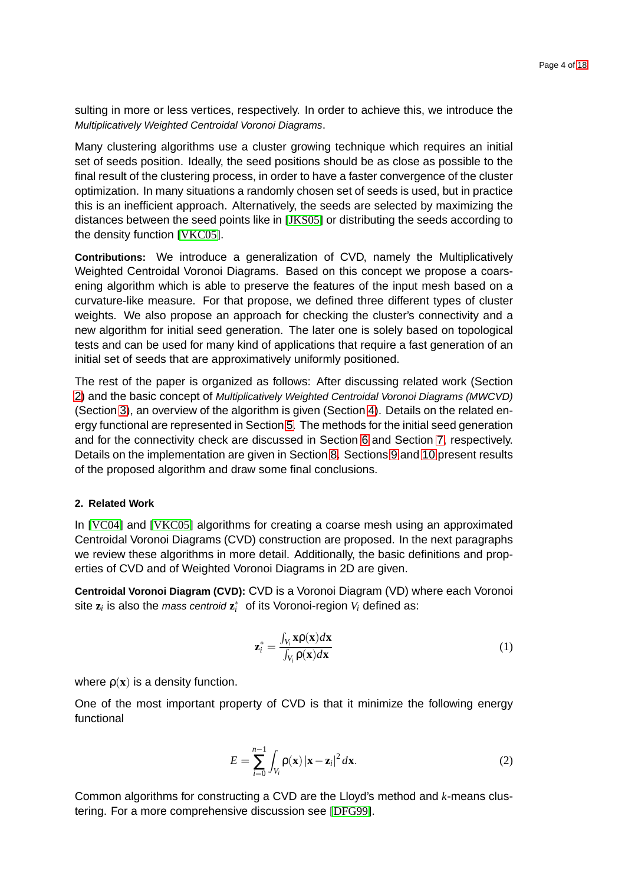sulting in more or less vertices, respectively. In order to achieve this, we introduce the Multiplicatively Weighted Centroidal Voronoi Diagrams.

Many clustering algorithms use a cluster growing technique which requires an initial set of seeds position. Ideally, the seed positions should be as close as possible to the final result of the clustering process, in order to have a faster convergence of the cluster optimization. In many situations a randomly chosen set of seeds is used, but in practice this is an inefficient approach. Alternatively, the seeds are selected by maximizing the distances between the seed points like in [\[JKS05\]](#page-17-12) or distributing the seeds according to the density function [\[VKC05\]](#page-17-11).

**Contributions:** We introduce a generalization of CVD, namely the Multiplicatively Weighted Centroidal Voronoi Diagrams. Based on this concept we propose a coarsening algorithm which is able to preserve the features of the input mesh based on a curvature-like measure. For that propose, we defined three different types of cluster weights. We also propose an approach for checking the cluster's connectivity and a new algorithm for initial seed generation. The later one is solely based on topological tests and can be used for many kind of applications that require a fast generation of an initial set of seeds that are approximatively uniformly positioned.

The rest of the paper is organized as follows: After discussing related work (Section [2\)](#page-3-0) and the basic concept of Multiplicatively Weighted Centroidal Voronoi Diagrams (MWCVD) (Section [3\)](#page-5-0), an overview of the algorithm is given (Section [4\)](#page-6-0). Details on the related energy functional are represented in Section [5.](#page-7-0) The methods for the initial seed generation and for the connectivity check are discussed in Section [6](#page-9-0) and Section [7,](#page-10-0) respectively. Details on the implementation are given in Section [8.](#page-12-0) Sections [9](#page-13-2) and [10](#page-15-0) present results of the proposed algorithm and draw some final conclusions.

## <span id="page-3-0"></span>**2. Related Work**

In [\[VC04\]](#page-17-9) and [\[VKC05\]](#page-17-11) algorithms for creating a coarse mesh using an approximated Centroidal Voronoi Diagrams (CVD) construction are proposed. In the next paragraphs we review these algorithms in more detail. Additionally, the basic definitions and properties of CVD and of Weighted Voronoi Diagrams in 2D are given.

**Centroidal Voronoi Diagram (CVD):** CVD is a Voronoi Diagram (VD) where each Voronoi site  $z_i$  is also the *mass centroid*  $z_i^*$  of its Voronoi-region  $V_i$  defined as:

<span id="page-3-2"></span>
$$
\mathbf{z}_{i}^{*} = \frac{\int_{V_{i}} \mathbf{x} \rho(\mathbf{x}) d\mathbf{x}}{\int_{V_{i}} \rho(\mathbf{x}) d\mathbf{x}} \tag{1}
$$

where  $\rho(x)$  is a density function.

One of the most important property of CVD is that it minimize the following energy functional

<span id="page-3-1"></span>
$$
E = \sum_{i=0}^{n-1} \int_{V_i} \rho(\mathbf{x}) |\mathbf{x} - \mathbf{z}_i|^2 d\mathbf{x}.
$$
 (2)

Common algorithms for constructing a CVD are the Lloyd's method and *k*-means clustering. For a more comprehensive discussion see [\[DFG99\]](#page-17-10).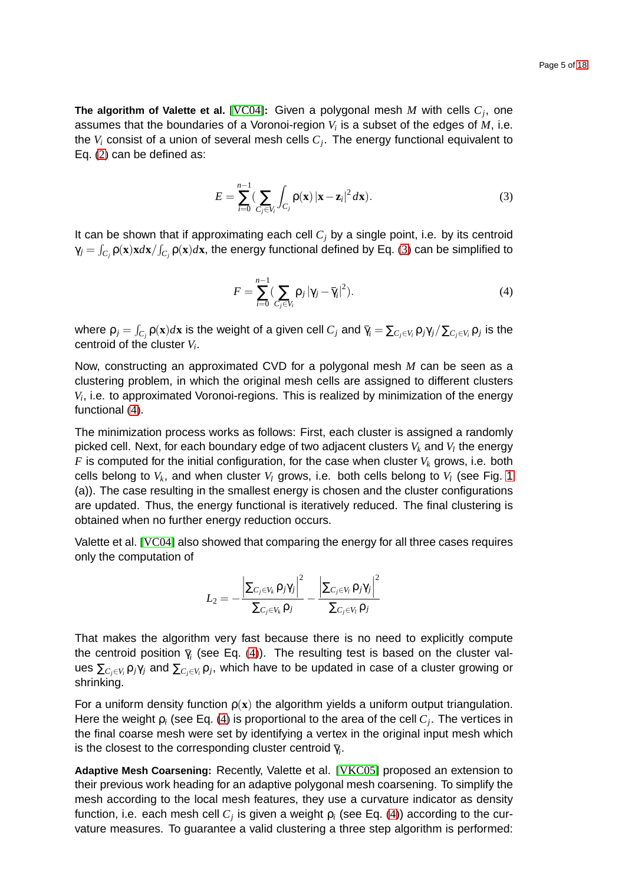**The algorithm of Valette et al.** [\[VC04\]](#page-17-9)**:** Given a polygonal mesh *M* with cells *C<sup>j</sup>* , one assumes that the boundaries of a Voronoi-region  $V_i$  is a subset of the edges of  $M$ , i.e. the *V<sup>i</sup>* consist of a union of several mesh cells *C<sup>j</sup>* . The energy functional equivalent to Eq. [\(2\)](#page-3-1) can be defined as:

<span id="page-4-0"></span>
$$
E = \sum_{i=0}^{n-1} \left( \sum_{C_j \in V_i} \int_{C_j} \rho(\mathbf{x}) |\mathbf{x} - \mathbf{z}_i|^2 d\mathbf{x} \right).
$$
 (3)

It can be shown that if approximating each cell  $C<sub>j</sub>$  by a single point, i.e. by its centroid  $\gamma_j = \int_{C_j} \mathsf{p}(\mathbf{x}) \mathbf{x} d\mathbf{x} / \int_{C_j} \mathsf{p}(\mathbf{x}) d\mathbf{x}$ , the energy functional defined by Eq. [\(3\)](#page-4-0) can be simplified to

<span id="page-4-1"></span>
$$
F = \sum_{i=0}^{n-1} \left( \sum_{C_j \in V_i} \rho_j |\gamma_j - \overline{\gamma}_i|^2 \right).
$$
 (4)

where  $\mathsf{p}_j=\int_{C_j}\mathsf{p}(\mathbf{x})d\mathbf{x}$  is the weight of a given cell  $C_j$  and  $\overline\gamma_i=\sum_{C_j\in V_i}\mathsf{p}_j\gamma_j/\sum_{C_j\in V_i}\mathsf{p}_j$  is the centroid of the cluster *V<sup>i</sup>* .

Now, constructing an approximated CVD for a polygonal mesh *M* can be seen as a clustering problem, in which the original mesh cells are assigned to different clusters *Vi* , i.e. to approximated Voronoi-regions. This is realized by minimization of the energy functional [\(4\)](#page-4-1).

The minimization process works as follows: First, each cluster is assigned a randomly picked cell. Next, for each boundary edge of two adjacent clusters  $V_k$  and  $V_l$  the energy  $F$  is computed for the initial configuration, for the case when cluster  $V_k$  grows, i.e. both cells belong to  $V_k$ , and when cluster  $V_l$  grows, i.e. both cells belong to  $V_l$  (see Fig. [1](#page-5-1) (a)). The case resulting in the smallest energy is chosen and the cluster configurations are updated. Thus, the energy functional is iteratively reduced. The final clustering is obtained when no further energy reduction occurs.

Valette et al. [\[VC04\]](#page-17-9) also showed that comparing the energy for all three cases requires only the computation of

$$
L_2 = -\frac{\left|\sum_{C_j \in V_k} \mathsf{p}_j \gamma_j\right|^2}{\sum_{C_j \in V_k} \mathsf{p}_j} - \frac{\left|\sum_{C_j \in V_l} \mathsf{p}_j \gamma_j\right|^2}{\sum_{C_j \in V_l} \mathsf{p}_j}
$$

That makes the algorithm very fast because there is no need to explicitly compute the centroid position  $\bar{\gamma}_i$  (see Eq. [\(4\)](#page-4-1)). The resulting test is based on the cluster val- $\sum_{C_j\in V_i}$ ρ $j\gamma_j$  and  $\sum_{C_j\in V_i}$ ρ $_j$ , which have to be updated in case of a cluster growing or shrinking.

For a uniform density function  $p(x)$  the algorithm yields a uniform output triangulation. Here the weight ρ*<sup>i</sup>* (see Eq. [\(4\)](#page-4-1) is proportional to the area of the cell *C<sup>j</sup>* . The vertices in the final coarse mesh were set by identifying a vertex in the original input mesh which is the closest to the corresponding cluster centroid  $\bar{\gamma}_i.$ 

**Adaptive Mesh Coarsening:** Recently, Valette et al. [\[VKC05\]](#page-17-11) proposed an extension to their previous work heading for an adaptive polygonal mesh coarsening. To simplify the mesh according to the local mesh features, they use a curvature indicator as density function, i.e. each mesh cell  $C_j$  is given a weight  $\rho_i$  (see Eq. [\(4\)](#page-4-1)) according to the curvature measures. To guarantee a valid clustering a three step algorithm is performed: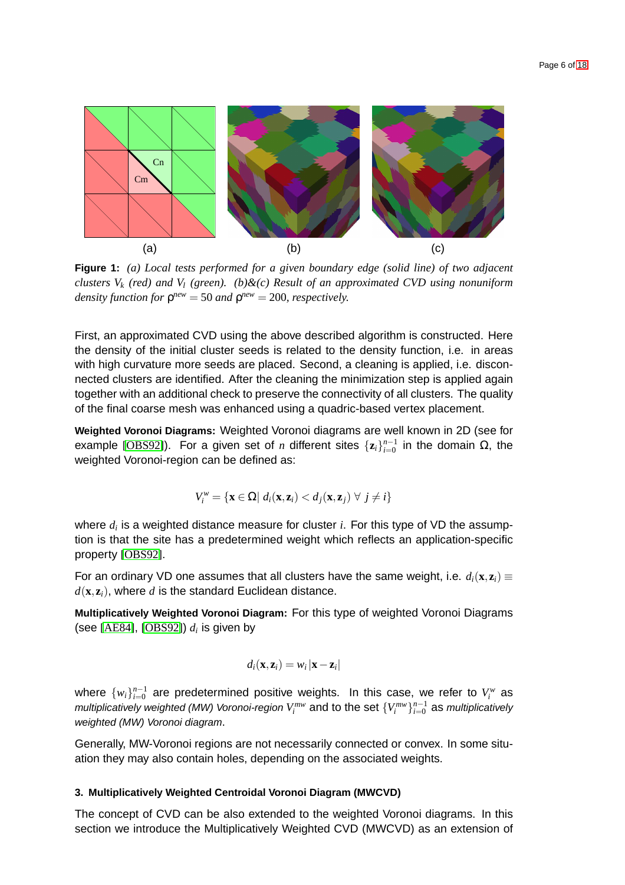

<span id="page-5-1"></span>**Figure 1:** *(a) Local tests performed for a given boundary edge (solid line) of two adjacent clusters V<sup>k</sup> (red) and V<sup>l</sup> (green). (b)&(c) Result of an approximated CVD using nonuniform density function for*  $ρ<sup>new</sup> = 50$  *and*  $ρ<sup>new</sup> = 200$ *, respectively.* 

First, an approximated CVD using the above described algorithm is constructed. Here the density of the initial cluster seeds is related to the density function, i.e. in areas with high curvature more seeds are placed. Second, a cleaning is applied, i.e. disconnected clusters are identified. After the cleaning the minimization step is applied again together with an additional check to preserve the connectivity of all clusters. The quality of the final coarse mesh was enhanced using a quadric-based vertex placement.

**Weighted Voronoi Diagrams:** Weighted Voronoi diagrams are well known in 2D (see for example [\[OBS92\]](#page-17-13)). For a given set of *n* different sites  $\{z_i\}_{i=0}^{n-1}$  in the domain Ω, the weighted Voronoi-region can be defined as:

$$
V_i^w = \{ \mathbf{x} \in \Omega \mid d_i(\mathbf{x}, \mathbf{z}_i) < d_j(\mathbf{x}, \mathbf{z}_j) \ \forall \ j \neq i \}
$$

where *d<sup>i</sup>* is a weighted distance measure for cluster *i*. For this type of VD the assumption is that the site has a predetermined weight which reflects an application-specific property [\[OBS92\]](#page-17-13).

For an ordinary VD one assumes that all clusters have the same weight, i.e.  $d_i(\mathbf{x}, \mathbf{z}_i) \equiv$  $d(\mathbf{x}, \mathbf{z}_i)$ , where *d* is the standard Euclidean distance.

**Multiplicatively Weighted Voronoi Diagram:** For this type of weighted Voronoi Diagrams (see [\[AE84\]](#page-17-14), [\[OBS92\]](#page-17-13))  $d_i$  is given by

$$
d_i(\mathbf{x}, \mathbf{z}_i) = w_i |\mathbf{x} - \mathbf{z}_i|
$$

where  $\{w_i\}_{i=0}^{n-1}$  are predetermined positive weights. In this case, we refer to  $V_i^w$  as multiplicatively weighted (MW) Voronoi-region  $V_i^{mw}$  and to the set  $\{V_i^{mw}\}_{i=0}^{n-1}$  as multiplicatively weighted (MW) Voronoi diagram.

Generally, MW-Voronoi regions are not necessarily connected or convex. In some situation they may also contain holes, depending on the associated weights.

#### <span id="page-5-0"></span>**3. Multiplicatively Weighted Centroidal Voronoi Diagram (MWCVD)**

The concept of CVD can be also extended to the weighted Voronoi diagrams. In this section we introduce the Multiplicatively Weighted CVD (MWCVD) as an extension of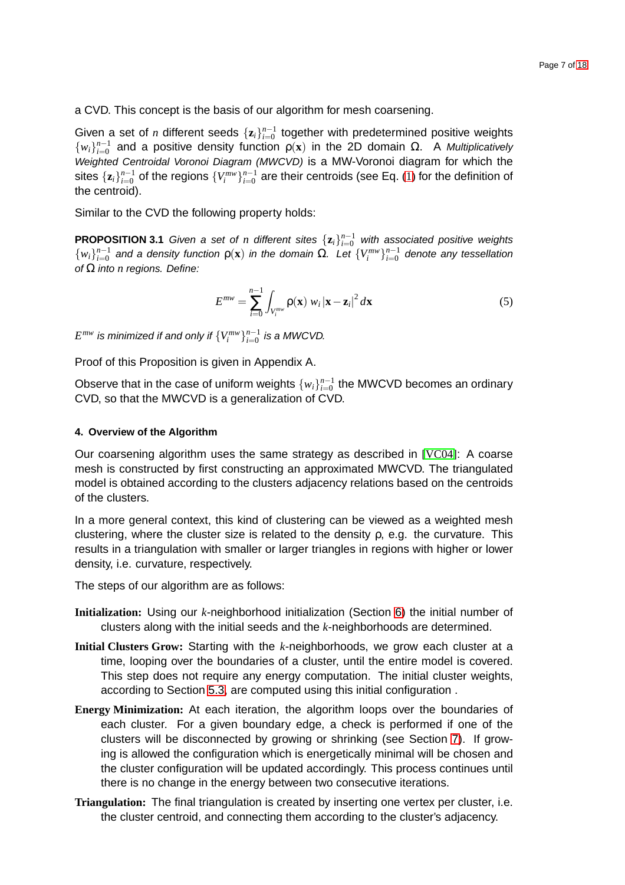a CVD. This concept is the basis of our algorithm for mesh coarsening.

Given a set of *n* different seeds  $\{z_i\}_{i=0}^{n-1}$  together with predetermined positive weights  ${w_i}_{i=0}^{n-1}$  and a positive density function  $ρ(x)$  in the 2D domain Ω. A Multiplicatively Weighted Centroidal Voronoi Diagram (MWCVD) is a MW-Voronoi diagram for which the sites  $\{\mathbf{z}_i\}_{i=0}^{n-1}$  of the regions  $\{V_i^{mw}\}_{i=0}^{n-1}$  are their centroids (see Eq. [\(1\)](#page-3-2) for the definition of the centroid).

Similar to the CVD the following property holds:

**PROPOSITION 3.1** Given a set of *n* different sites  $\{z_i\}_{i=0}^{n-1}$  with associated positive weights  ${w_i}_{i=0}^{n-1}$  and a density function  $ρ(x)$  in the domain Ω. Let  ${V_i^{mw}}_{i=0}^{n-1}$  denote any tessellation of Ω into *n* regions. Define:

<span id="page-6-1"></span>
$$
E^{mw} = \sum_{i=0}^{n-1} \int_{V_i^{mw}} \rho(\mathbf{x}) \ w_i |\mathbf{x} - \mathbf{z}_i|^2 d\mathbf{x}
$$
 (5)

 $E^{mw}$  is minimized if and only if  $\{V_i^{mw}\}_{i=0}^{n-1}$  is a MWCVD.

Proof of this Proposition is given in Appendix A.

Observe that in the case of uniform weights  $\{w_i\}_{i=0}^{n-1}$  the MWCVD becomes an ordinary CVD, so that the MWCVD is a generalization of CVD.

#### <span id="page-6-0"></span>**4. Overview of the Algorithm**

Our coarsening algorithm uses the same strategy as described in [\[VC04\]](#page-17-9): A coarse mesh is constructed by first constructing an approximated MWCVD. The triangulated model is obtained according to the clusters adjacency relations based on the centroids of the clusters.

In a more general context, this kind of clustering can be viewed as a weighted mesh clustering, where the cluster size is related to the density  $\rho$ , e.g. the curvature. This results in a triangulation with smaller or larger triangles in regions with higher or lower density, i.e. curvature, respectively.

The steps of our algorithm are as follows:

- **Initialization:** Using our *k*-neighborhood initialization (Section [6\)](#page-9-0) the initial number of clusters along with the initial seeds and the *k*-neighborhoods are determined.
- **Initial Clusters Grow:** Starting with the *k*-neighborhoods, we grow each cluster at a time, looping over the boundaries of a cluster, until the entire model is covered. This step does not require any energy computation. The initial cluster weights, according to Section [5.3,](#page-8-0) are computed using this initial configuration .
- **Energy Minimization:** At each iteration, the algorithm loops over the boundaries of each cluster. For a given boundary edge, a check is performed if one of the clusters will be disconnected by growing or shrinking (see Section [7\)](#page-10-0). If growing is allowed the configuration which is energetically minimal will be chosen and the cluster configuration will be updated accordingly. This process continues until there is no change in the energy between two consecutive iterations.
- **Triangulation:** The final triangulation is created by inserting one vertex per cluster, i.e. the cluster centroid, and connecting them according to the cluster's adjacency.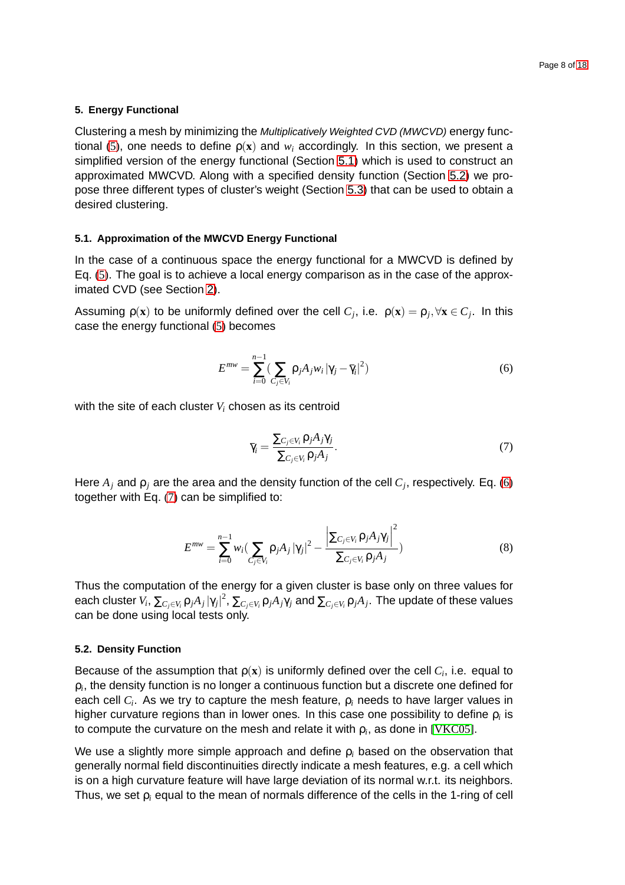#### <span id="page-7-0"></span>**5. Energy Functional**

Clustering a mesh by minimizing the Multiplicatively Weighted CVD (MWCVD) energy func-tional [\(5\)](#page-6-1), one needs to define  $p(x)$  and  $w_i$  accordingly. In this section, we present a simplified version of the energy functional (Section [5.1\)](#page-7-1) which is used to construct an approximated MWCVD. Along with a specified density function (Section [5.2\)](#page-7-2) we propose three different types of cluster's weight (Section [5.3\)](#page-8-0) that can be used to obtain a desired clustering.

#### <span id="page-7-1"></span>**5.1. Approximation of the MWCVD Energy Functional**

In the case of a continuous space the energy functional for a MWCVD is defined by Eq. [\(5\)](#page-6-1). The goal is to achieve a local energy comparison as in the case of the approximated CVD (see Section [2\)](#page-3-0).

Assuming  $\rho(\mathbf{x})$  to be uniformly defined over the cell  $C_j$ , i.e.  $\rho(\mathbf{x}) = \rho_j, \forall \mathbf{x} \in C_j$ . In this case the energy functional [\(5\)](#page-6-1) becomes

<span id="page-7-3"></span>
$$
E^{mw} = \sum_{i=0}^{n-1} \left( \sum_{C_j \in V_i} \rho_j A_j w_i \left| \gamma_j - \overline{\gamma}_i \right|^2 \right) \tag{6}
$$

with the site of each cluster *V<sup>i</sup>* chosen as its centroid

<span id="page-7-4"></span>
$$
\overline{\gamma}_i = \frac{\sum_{C_j \in V_i} \rho_j A_j \gamma_j}{\sum_{C_j \in V_i} \rho_j A_j}.
$$
\n(7)

Here *A<sup>j</sup>* and ρ*<sup>j</sup>* are the area and the density function of the cell *C<sup>j</sup>* , respectively. Eq. [\(6\)](#page-7-3) together with Eq. [\(7\)](#page-7-4) can be simplified to:

<span id="page-7-5"></span>
$$
E^{mw} = \sum_{i=0}^{n-1} w_i \left(\sum_{C_j \in V_i} \rho_j A_j |\gamma_j|^2 - \frac{\left|\sum_{C_j \in V_i} \rho_j A_j \gamma_j\right|^2}{\sum_{C_j \in V_i} \rho_j A_j}\right)
$$
(8)

Thus the computation of the energy for a given cluster is base only on three values for each cluster  $V_i$ ,  $\sum_{C_j\in V_i}\rho_jA_j\ket{\gamma_j}^2$ ,  $\sum_{C_j\in V_i}\rho_jA_j\gamma_j$  and  $\sum_{C_j\in V_i}\rho_jA_j.$  The update of these values can be done using local tests only.

#### <span id="page-7-2"></span>**5.2. Density Function**

Because of the assumption that  $p(x)$  is uniformly defined over the cell  $C_i$ , i.e. equal to  $\rho_i$ , the density function is no longer a continuous function but a discrete one defined for each cell *C<sup>i</sup>* . As we try to capture the mesh feature, ρ*<sup>i</sup>* needs to have larger values in higher curvature regions than in lower ones. In this case one possibility to define ρ*<sup>i</sup>* is to compute the curvature on the mesh and relate it with  $\rho_i$ , as done in [\[VKC05\]](#page-17-11).

We use a slightly more simple approach and define ρ*<sup>i</sup>* based on the observation that generally normal field discontinuities directly indicate a mesh features, e.g. a cell which is on a high curvature feature will have large deviation of its normal w.r.t. its neighbors. Thus, we set ρ*<sup>i</sup>* equal to the mean of normals difference of the cells in the 1-ring of cell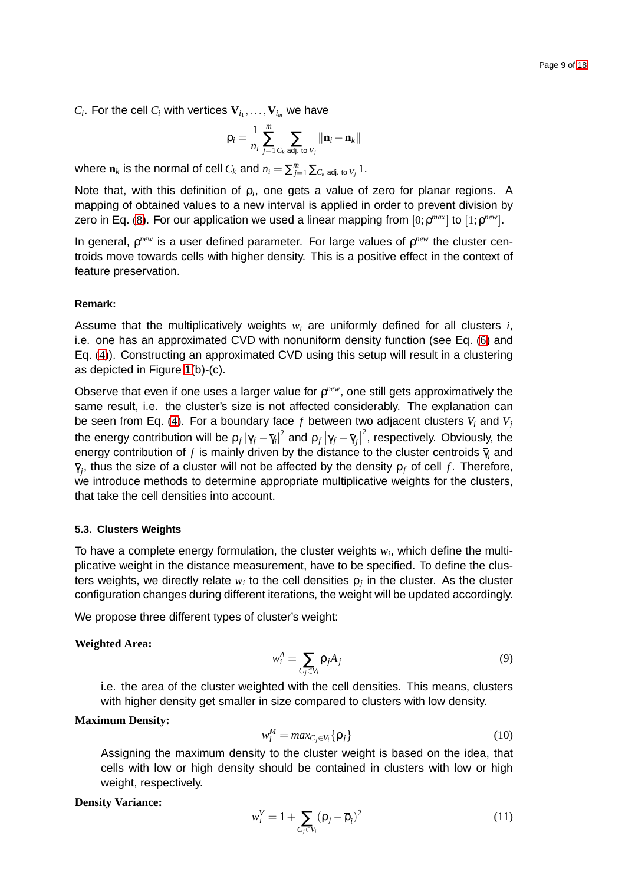$C_i$ . For the cell  $C_i$  with vertices  $\mathbf{V}_{i_1},\ldots,\mathbf{V}_{i_m}$  we have

$$
\rho_i = \frac{1}{n_i} \sum_{j=1}^m \sum_{C_k \text{ adj. to } V_j} \|\mathbf{n}_i - \mathbf{n}_k\|
$$

where  $\mathbf{n}_k$  is the normal of cell  $C_k$  and  $n_i = \sum_{j=1}^m \sum_{C_k \text{ adj. to } V_j} 1$ .

Note that, with this definition of ρ*<sup>i</sup>* , one gets a value of zero for planar regions. A mapping of obtained values to a new interval is applied in order to prevent division by zero in Eq. [\(8\)](#page-7-5). For our application we used a linear mapping from  $[0; \rho^{max}]$  to  $[1; \rho^{new}]$ .

In general, *p<sup>new</sup>* is a user defined parameter. For large values of *p<sup>new</sup>* the cluster centroids move towards cells with higher density. This is a positive effect in the context of feature preservation.

#### **Remark:**

Assume that the multiplicatively weights *w<sup>i</sup>* are uniformly defined for all clusters *i*, i.e. one has an approximated CVD with nonuniform density function (see Eq. [\(6\)](#page-7-3) and Eq. [\(4\)](#page-4-1)). Constructing an approximated CVD using this setup will result in a clustering as depicted in Figure [1\(](#page-5-1)b)-(c).

Observe that even if one uses a larger value for *p<sup>new</sup>*, one still gets approximatively the same result, i.e. the cluster's size is not affected considerably. The explanation can be seen from Eq. [\(4\)](#page-4-1). For a boundary face *f* between two adjacent clusters *V<sup>i</sup>* and *V<sup>j</sup>* the energy contribution will be  $\rho_f |\gamma_f - \overline{\gamma}_i|^2$  and  $\rho_f |\gamma_f - \overline{\gamma}_j|$  $^2$ , respectively. Obviously, the energy contribution of  $f$  is mainly driven by the distance to the cluster centroids  $\bar{\gamma}_i$  and  $\bar{\gamma}_j$ , thus the size of a cluster will not be affected by the density  $\rho_f$  of cell  $f.$  Therefore, we introduce methods to determine appropriate multiplicative weights for the clusters, that take the cell densities into account.

#### <span id="page-8-0"></span>**5.3. Clusters Weights**

To have a complete energy formulation, the cluster weights  $w_i$ , which define the multiplicative weight in the distance measurement, have to be specified. To define the clusters weights, we directly relate  $w_i$  to the cell densities  $\rho_j$  in the cluster. As the cluster configuration changes during different iterations, the weight will be updated accordingly.

We propose three different types of cluster's weight:

#### **Weighted Area:**

<span id="page-8-1"></span>
$$
w_i^A = \sum_{C_j \in V_i} \rho_j A_j \tag{9}
$$

i.e. the area of the cluster weighted with the cell densities. This means, clusters with higher density get smaller in size compared to clusters with low density.

#### **Maximum Density:**

<span id="page-8-2"></span>
$$
w_i^M = \max_{C_j \in V_i} {\rho_j}
$$
 (10)

Assigning the maximum density to the cluster weight is based on the idea, that cells with low or high density should be contained in clusters with low or high weight, respectively.

#### **Density Variance:**

<span id="page-8-3"></span>
$$
w_i^V = 1 + \sum_{C_j \in V_i} (\rho_j - \overline{\rho}_i)^2
$$
 (11)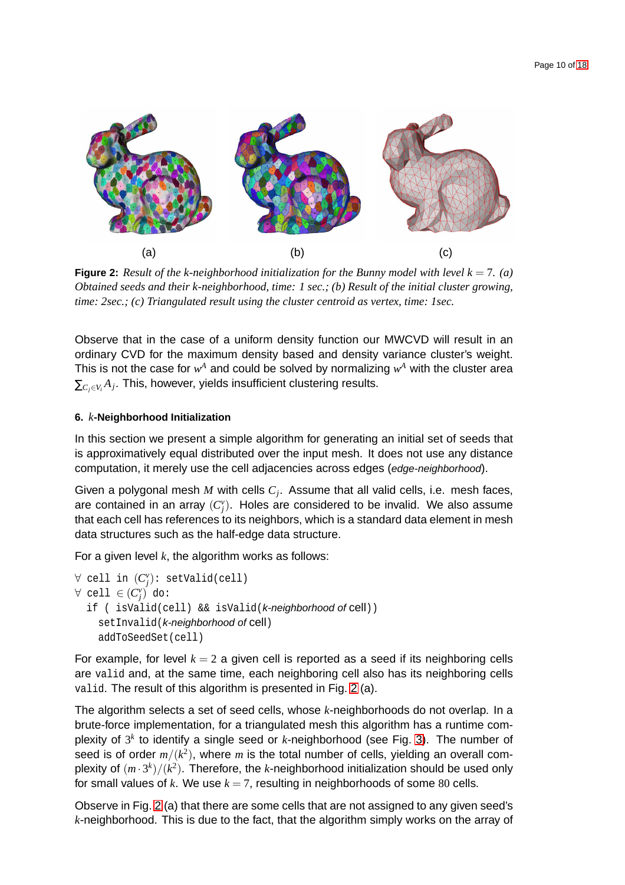

<span id="page-9-1"></span>**Figure 2:** Result of the k-neighborhood initialization for the Bunny model with level  $k = 7$ . (a) *Obtained seeds and their k-neighborhood, time: 1 sec.; (b) Result of the initial cluster growing, time: 2sec.; (c) Triangulated result using the cluster centroid as vertex, time: 1sec.*

Observe that in the case of a uniform density function our MWCVD will result in an ordinary CVD for the maximum density based and density variance cluster's weight. This is not the case for  $w^A$  and could be solved by normalizing  $w^A$  with the cluster area  $\sum_{C_j\in V_i} A_j.$  This, however, yields insufficient clustering results.

## <span id="page-9-0"></span>**6.** *k***-Neighborhood Initialization**

In this section we present a simple algorithm for generating an initial set of seeds that is approximatively equal distributed over the input mesh. It does not use any distance computation, it merely use the cell adjacencies across edges (edge-neighborhood).

Given a polygonal mesh *M* with cells *C<sup>j</sup>* . Assume that all valid cells, i.e. mesh faces, are contained in an array  $(C_j^v)$ . Holes are considered to be invalid. We also assume that each cell has references to its neighbors, which is a standard data element in mesh data structures such as the half-edge data structure.

For a given level *k*, the algorithm works as follows:

```
∀ cell in (C
v
j
): setValid(cell)
∀ cell ∈ (C_j^v) do:
 if ( isValid(cell) && isValid(k-neighborhood of cell))
    setInvalid(k-neighborhood of cell)
    addToSeedSet(cell)
```
For example, for level  $k = 2$  a given cell is reported as a seed if its neighboring cells are valid and, at the same time, each neighboring cell also has its neighboring cells valid. The result of this algorithm is presented in Fig. [2](#page-9-1) (a).

The algorithm selects a set of seed cells, whose *k*-neighborhoods do not overlap. In a brute-force implementation, for a triangulated mesh this algorithm has a runtime complexity of 3<sup>k</sup> to identify a single seed or *k*-neighborhood (see Fig. [3\)](#page-10-1). The number of seed is of order  $m/(k^2)$ , where  $m$  is the total number of cells, yielding an overall complexity of  $(m \cdot 3^k)/(k^2)$ . Therefore, the *k*-neighborhood initialization should be used only for small values of  $k$ . We use  $k = 7$ , resulting in neighborhoods of some 80 cells.

Observe in Fig. [2](#page-9-1) (a) that there are some cells that are not assigned to any given seed's *k*-neighborhood. This is due to the fact, that the algorithm simply works on the array of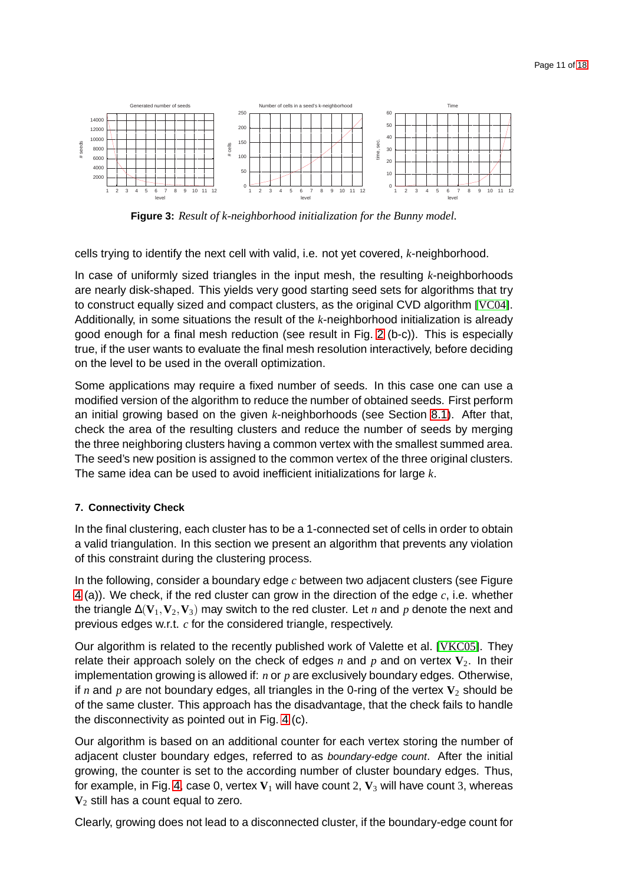

<span id="page-10-1"></span>**Figure 3:** *Result of k-neighborhood initialization for the Bunny model.*

cells trying to identify the next cell with valid, i.e. not yet covered, *k*-neighborhood.

In case of uniformly sized triangles in the input mesh, the resulting *k*-neighborhoods are nearly disk-shaped. This yields very good starting seed sets for algorithms that try to construct equally sized and compact clusters, as the original CVD algorithm [\[VC04\]](#page-17-9). Additionally, in some situations the result of the *k*-neighborhood initialization is already good enough for a final mesh reduction (see result in Fig. [2](#page-9-1) (b-c)). This is especially true, if the user wants to evaluate the final mesh resolution interactively, before deciding on the level to be used in the overall optimization.

Some applications may require a fixed number of seeds. In this case one can use a modified version of the algorithm to reduce the number of obtained seeds. First perform an initial growing based on the given *k*-neighborhoods (see Section [8.1\)](#page-12-1). After that, check the area of the resulting clusters and reduce the number of seeds by merging the three neighboring clusters having a common vertex with the smallest summed area. The seed's new position is assigned to the common vertex of the three original clusters. The same idea can be used to avoid inefficient initializations for large *k*.

## <span id="page-10-0"></span>**7. Connectivity Check**

In the final clustering, each cluster has to be a 1-connected set of cells in order to obtain a valid triangulation. In this section we present an algorithm that prevents any violation of this constraint during the clustering process.

In the following, consider a boundary edge *c* between two adjacent clusters (see Figure [4](#page-11-0) (a)). We check, if the red cluster can grow in the direction of the edge *c*, i.e. whether the triangle  $\Delta$ ( $V_1$ ,  $V_2$ ,  $V_3$ ) may switch to the red cluster. Let *n* and *p* denote the next and previous edges w.r.t. *c* for the considered triangle, respectively.

Our algorithm is related to the recently published work of Valette et al. [\[VKC05\]](#page-17-11). They relate their approach solely on the check of edges  $n$  and  $p$  and on vertex  $V_2$ . In their implementation growing is allowed if: *n* or *p* are exclusively boundary edges. Otherwise, if *n* and *p* are not boundary edges, all triangles in the 0-ring of the vertex  $V_2$  should be of the same cluster. This approach has the disadvantage, that the check fails to handle the disconnectivity as pointed out in Fig. [4](#page-11-0) (c).

Our algorithm is based on an additional counter for each vertex storing the number of adjacent cluster boundary edges, referred to as boundary-edge count. After the initial growing, the counter is set to the according number of cluster boundary edges. Thus, for example, in Fig. [4,](#page-11-0) case 0, vertex  $V_1$  will have count 2,  $V_3$  will have count 3, whereas **V**<sup>2</sup> still has a count equal to zero.

Clearly, growing does not lead to a disconnected cluster, if the boundary-edge count for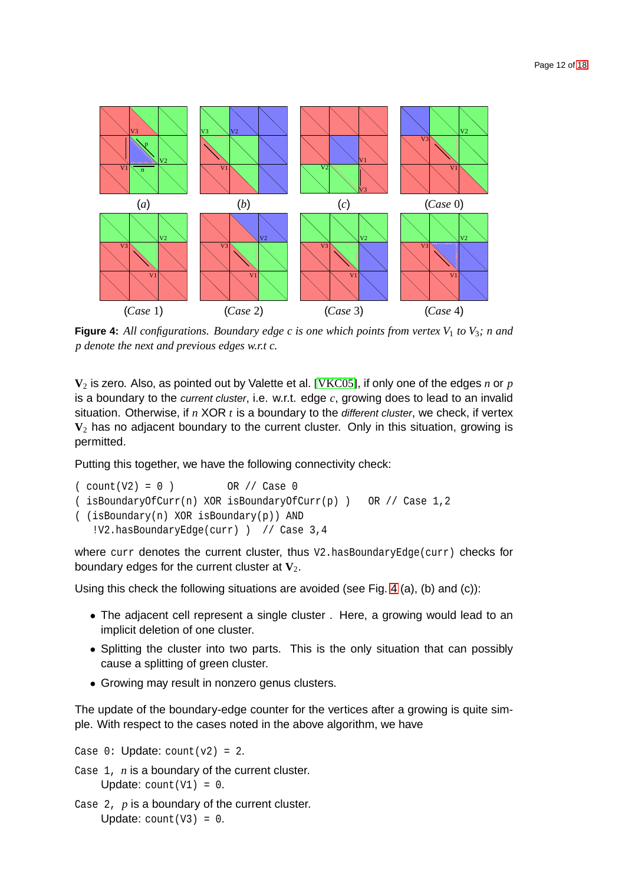

<span id="page-11-0"></span>**Figure 4:** All configurations. Boundary edge c is one which points from vertex  $V_1$  to  $V_3$ ; n and *p denote the next and previous edges w.r.t c.*

**V**<sup>2</sup> is zero. Also, as pointed out by Valette et al. [\[VKC05\]](#page-17-11), if only one of the edges *n* or *p* is a boundary to the current cluster, i.e. w.r.t. edge *c*, growing does to lead to an invalid situation. Otherwise, if *n* XOR *t* is a boundary to the different cluster, we check, if vertex **V**<sup>2</sup> has no adjacent boundary to the current cluster. Only in this situation, growing is permitted.

Putting this together, we have the following connectivity check:

```
(\text{count}(V2) = 0) OR // Case 0
( isBoundaryOfCurr(n) XOR isBoundaryOfCurr(p) ) OR // Case 1,2
( (isBoundary(n) XOR isBoundary(p)) AND
   !V2.hasBoundaryEdge(curr) ) // Case 3,4
```
where curr denotes the current cluster, thus V2.hasBoundaryEdge(curr) checks for boundary edges for the current cluster at  $V_2$ .

Using this check the following situations are avoided (see Fig. [4](#page-11-0) (a), (b) and (c)):

- The adjacent cell represent a single cluster . Here, a growing would lead to an implicit deletion of one cluster.
- Splitting the cluster into two parts. This is the only situation that can possibly cause a splitting of green cluster.
- Growing may result in nonzero genus clusters.

The update of the boundary-edge counter for the vertices after a growing is quite simple. With respect to the cases noted in the above algorithm, we have

Case  $0:$  Update: count  $(v2) = 2$ .

- Case 1, *n* is a boundary of the current cluster. Update:  $count(V1) = 0$ .
- Case 2, *p* is a boundary of the current cluster. Update:  $count(V3) = 0$ .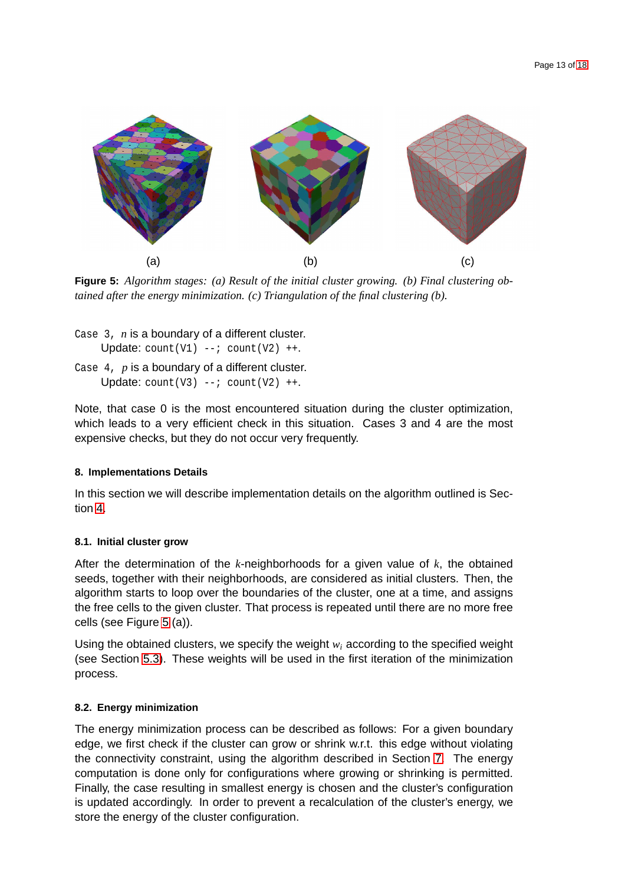

**Figure 5:** *Algorithm stages: (a) Result of the initial cluster growing. (b) Final clustering obtained after the energy minimization. (c) Triangulation of the final clustering (b).*

<span id="page-12-3"></span>Case 3, *n* is a boundary of a different cluster. Update:  $count(V1)$  --;  $count(V2)$  ++. Case 4, *p* is a boundary of a different cluster. Update:  $count(V3)$  --;  $count(V2)$  ++.

Note, that case 0 is the most encountered situation during the cluster optimization, which leads to a very efficient check in this situation. Cases 3 and 4 are the most expensive checks, but they do not occur very frequently.

## <span id="page-12-0"></span>**8. Implementations Details**

In this section we will describe implementation details on the algorithm outlined is Section [4.](#page-6-0)

## <span id="page-12-1"></span>**8.1. Initial cluster grow**

After the determination of the *k*-neighborhoods for a given value of *k*, the obtained seeds, together with their neighborhoods, are considered as initial clusters. Then, the algorithm starts to loop over the boundaries of the cluster, one at a time, and assigns the free cells to the given cluster. That process is repeated until there are no more free cells (see Figure [5](#page-12-3) (a)).

Using the obtained clusters, we specify the weight *w<sup>i</sup>* according to the specified weight (see Section [5.3\)](#page-8-0). These weights will be used in the first iteration of the minimization process.

## <span id="page-12-2"></span>**8.2. Energy minimization**

The energy minimization process can be described as follows: For a given boundary edge, we first check if the cluster can grow or shrink w.r.t. this edge without violating the connectivity constraint, using the algorithm described in Section [7.](#page-10-0) The energy computation is done only for configurations where growing or shrinking is permitted. Finally, the case resulting in smallest energy is chosen and the cluster's configuration is updated accordingly. In order to prevent a recalculation of the cluster's energy, we store the energy of the cluster configuration.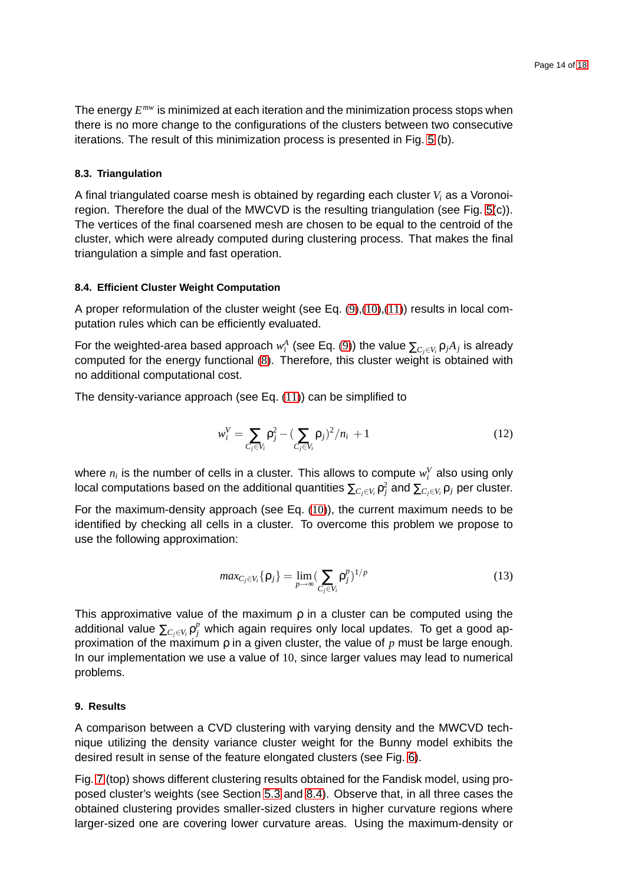The energy *E mw* is minimized at each iteration and the minimization process stops when there is no more change to the configurations of the clusters between two consecutive iterations. The result of this minimization process is presented in Fig. [5](#page-12-3) (b).

#### <span id="page-13-0"></span>**8.3. Triangulation**

A final triangulated coarse mesh is obtained by regarding each cluster *V<sup>i</sup>* as a Voronoiregion. Therefore the dual of the MWCVD is the resulting triangulation (see Fig. [5\(](#page-12-3)c)). The vertices of the final coarsened mesh are chosen to be equal to the centroid of the cluster, which were already computed during clustering process. That makes the final triangulation a simple and fast operation.

#### <span id="page-13-1"></span>**8.4. Efficient Cluster Weight Computation**

A proper reformulation of the cluster weight (see Eq.  $(9)$ , $(10)$ , $(11)$ ) results in local computation rules which can be efficiently evaluated.

For the weighted-area based approach  $w_i^A$  (see Eq. [\(9\)](#page-8-1)) the value  $\sum_{C_j\in V_i}\mathsf{p}_jA_j$  is already computed for the energy functional [\(8\)](#page-7-5). Therefore, this cluster weight is obtained with no additional computational cost.

The density-variance approach (see Eq. [\(11\)](#page-8-3)) can be simplified to

$$
w_i^V = \sum_{C_j \in V_i} \rho_j^2 - \left(\sum_{C_j \in V_i} \rho_j\right)^2 / n_i + 1
$$
\n(12)

where  $n_i$  is the number of cells in a cluster. This allows to compute  $w_i^V$  also using only local computations based on the additional quantities  $\sum_{C_j\in V_i}\rho_j^2$  and  $\sum_{C_j\in V_i}\rho_j$  per cluster.

For the maximum-density approach (see Eq. [\(10\)](#page-8-2)), the current maximum needs to be identified by checking all cells in a cluster. To overcome this problem we propose to use the following approximation:

$$
max_{C_j \in V_i} {\rho_j} = \lim_{p \to \infty} (\sum_{C_j \in V_i} {\rho_j^p})^{1/p}
$$
\n(13)

This approximative value of the maximum  $\rho$  in a cluster can be computed using the additional value  $\sum_{C_j\in V_i} \mathsf{p}_j^p$  which again requires only local updates. To get a good approximation of the maximum ρ in a given cluster, the value of *p* must be large enough. In our implementation we use a value of 10, since larger values may lead to numerical problems.

#### <span id="page-13-2"></span>**9. Results**

A comparison between a CVD clustering with varying density and the MWCVD technique utilizing the density variance cluster weight for the Bunny model exhibits the desired result in sense of the feature elongated clusters (see Fig. [6\)](#page-14-0).

Fig. [7](#page-14-1) (top) shows different clustering results obtained for the Fandisk model, using proposed cluster's weights (see Section [5.3](#page-8-0) and [8.4\)](#page-13-1). Observe that, in all three cases the obtained clustering provides smaller-sized clusters in higher curvature regions where larger-sized one are covering lower curvature areas. Using the maximum-density or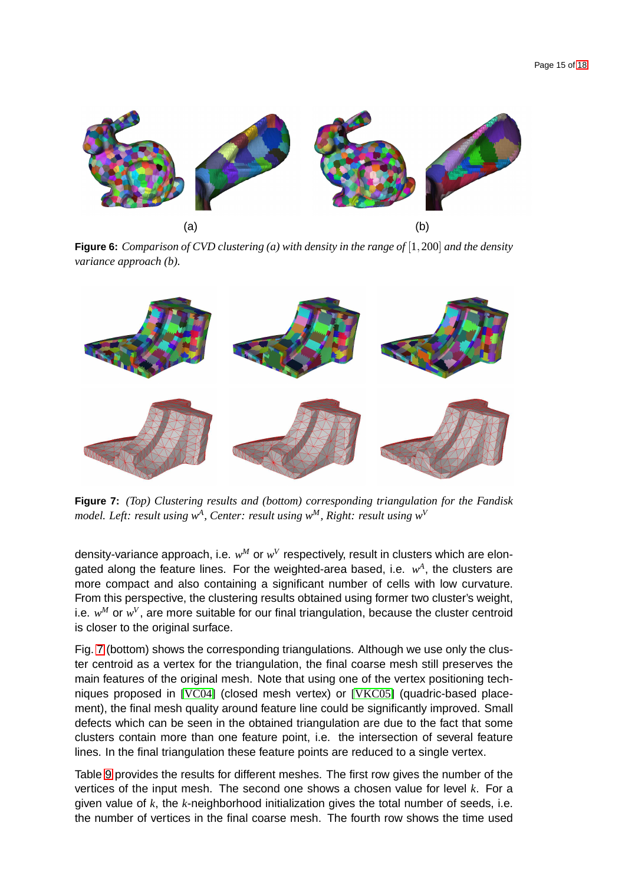

<span id="page-14-0"></span>**Figure 6:** *Comparison of CVD clustering (a) with density in the range of* [1,200] *and the density variance approach (b).*



<span id="page-14-1"></span>**Figure 7:** *(Top) Clustering results and (bottom) corresponding triangulation for the Fandisk model. Left: result using w<sup>A</sup> , Center: result using w<sup>M</sup>, Right: result using w<sup>V</sup>*

density-variance approach, i.e.  $w^M$  or  $w^V$  respectively, result in clusters which are elongated along the feature lines. For the weighted-area based, i.e.  $w<sup>A</sup>$ , the clusters are more compact and also containing a significant number of cells with low curvature. From this perspective, the clustering results obtained using former two cluster's weight, i.e.  $w^M$  or  $w^V$ , are more suitable for our final triangulation, because the cluster centroid is closer to the original surface.

Fig. [7](#page-14-1) (bottom) shows the corresponding triangulations. Although we use only the cluster centroid as a vertex for the triangulation, the final coarse mesh still preserves the main features of the original mesh. Note that using one of the vertex positioning techniques proposed in [\[VC04\]](#page-17-9) (closed mesh vertex) or [\[VKC05\]](#page-17-11) (quadric-based placement), the final mesh quality around feature line could be significantly improved. Small defects which can be seen in the obtained triangulation are due to the fact that some clusters contain more than one feature point, i.e. the intersection of several feature lines. In the final triangulation these feature points are reduced to a single vertex.

Table [9](#page-14-1) provides the results for different meshes. The first row gives the number of the vertices of the input mesh. The second one shows a chosen value for level *k*. For a given value of *k*, the *k*-neighborhood initialization gives the total number of seeds, i.e. the number of vertices in the final coarse mesh. The fourth row shows the time used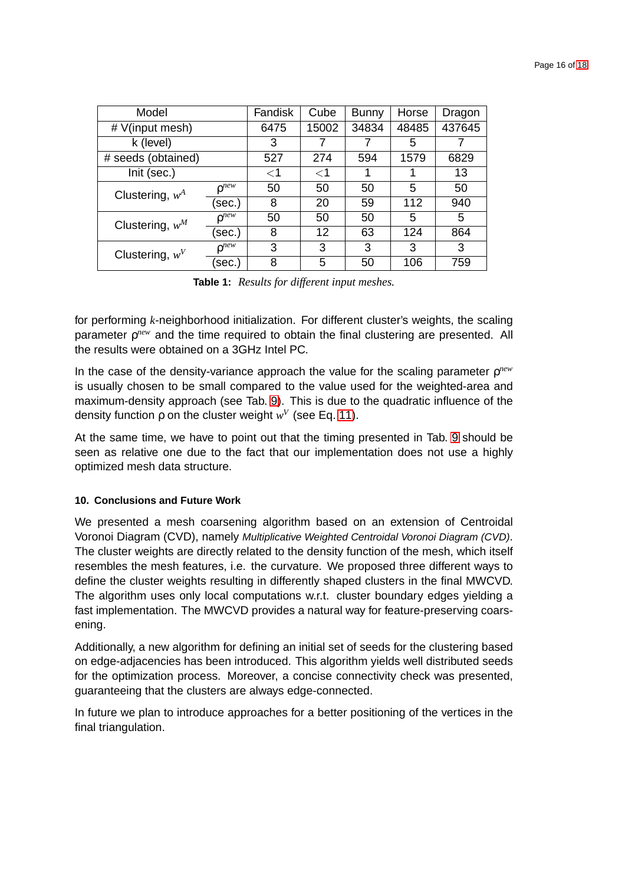| Page 16 of 18 |  |  |
|---------------|--|--|
|               |  |  |

| Model              |                     | Fandisk | Cube  | <b>Bunny</b> | Horse  | Dragon |
|--------------------|---------------------|---------|-------|--------------|--------|--------|
| # V(input mesh)    | 6475                | 15002   | 34834 | 48485        | 437645 |        |
| k (level)          | 3                   |         |       | 5            |        |        |
| # seeds (obtained) |                     | 527     | 274   | 594          | 1579   | 6829   |
| Init (sec.)        |                     | $<$ 1   | $<$ 1 |              |        | 13     |
| Clustering, $w^A$  | $0^{new}$           | 50      | 50    | 50           | 5      | 50     |
|                    | (sec.)              | 8       | 20    | 59           | 112    | 940    |
| Clustering, $w^M$  | $n^{new}$           | 50      | 50    | 50           | 5      | 5      |
|                    | (sec.)              | 8       | 12    | 63           | 124    | 864    |
| Clustering, $wV$   | $\rho^{n \bar{e}w}$ | 3       | 3     | 3            | 3      | 3      |
|                    | (sec.)              | 8       | 5     | 50           | 106    | 759    |

**Table 1:** *Results for different input meshes.*

for performing *k*-neighborhood initialization. For different cluster's weights, the scaling parameter *p<sup>new</sup>* and the time required to obtain the final clustering are presented. All the results were obtained on a 3GHz Intel PC.

In the case of the density-variance approach the value for the scaling parameter ρ *new* is usually chosen to be small compared to the value used for the weighted-area and maximum-density approach (see Tab. [9\)](#page-14-1). This is due to the quadratic influence of the density function  $ρ$  on the cluster weight  $w<sup>V</sup>$  (see Eq. [11\)](#page-8-3).

At the same time, we have to point out that the timing presented in Tab. [9](#page-14-1) should be seen as relative one due to the fact that our implementation does not use a highly optimized mesh data structure.

## <span id="page-15-0"></span>**10. Conclusions and Future Work**

We presented a mesh coarsening algorithm based on an extension of Centroidal Voronoi Diagram (CVD), namely Multiplicative Weighted Centroidal Voronoi Diagram (CVD). The cluster weights are directly related to the density function of the mesh, which itself resembles the mesh features, i.e. the curvature. We proposed three different ways to define the cluster weights resulting in differently shaped clusters in the final MWCVD. The algorithm uses only local computations w.r.t. cluster boundary edges yielding a fast implementation. The MWCVD provides a natural way for feature-preserving coarsening.

Additionally, a new algorithm for defining an initial set of seeds for the clustering based on edge-adjacencies has been introduced. This algorithm yields well distributed seeds for the optimization process. Moreover, a concise connectivity check was presented, guaranteeing that the clusters are always edge-connected.

In future we plan to introduce approaches for a better positioning of the vertices in the final triangulation.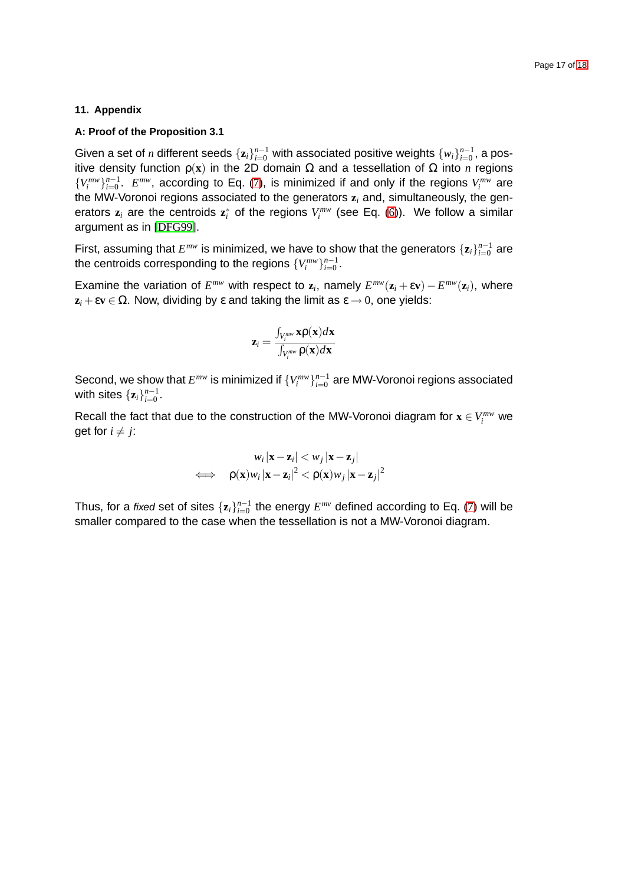### <span id="page-16-0"></span>**11. Appendix**

#### **A: Proof of the Proposition 3.1**

Given a set of *n* different seeds  $\{\mathbf{z}_i\}_{i=0}^{n-1}$  with associated positive weights  $\{w_i\}_{i=0}^{n-1}$ , a positive density function ρ(**x**) in the 2D domain Ω and a tessellation of Ω into *n* regions  ${V_i^{mw}}_{i=0}^{n-1}$ .  $E^{mw}$ , according to Eq. [\(7\)](#page-7-4), is minimized if and only if the regions  $V_i^{mw}$  are the MW-Voronoi regions associated to the generators **z***<sup>i</sup>* and, simultaneously, the generators  $z_i$  are the centroids  $z_i^*$  of the regions  $V_i^{mw}$  (see Eq. [\(6\)](#page-7-3)). We follow a similar argument as in [\[DFG99\]](#page-17-10).

First, assuming that  $E^{mw}$  is minimized, we have to show that the generators  $\{\mathbf{z}_i\}_{i=0}^{n-1}$  are the centroids corresponding to the regions  $\{V_i^{mw}\}_{i=0}^{n-1}.$ 

Examine the variation of  $E^{mw}$  with respect to  $z_i$ , namely  $E^{mw}(\mathbf{z}_i + \varepsilon \mathbf{v}) - E^{mw}(\mathbf{z}_i)$ , where  $z_i + \varepsilon v \in \Omega$ . Now, dividing by  $\varepsilon$  and taking the limit as  $\varepsilon \to 0$ , one yields:

$$
\mathbf{z}_i = \frac{\int_{V_i^{mw}} \mathbf{x} \rho(\mathbf{x}) d\mathbf{x}}{\int_{V_i^{mw}} \rho(\mathbf{x}) d\mathbf{x}}
$$

Second, we show that  $E^{mw}$  is minimized if  $\{V_i^{mw}\}_{i=0}^{n-1}$  are MW-Voronoi regions associated with sites  $\{\mathbf{z}_i\}_{i=0}^{n-1}$ .

Recall the fact that due to the construction of the MW-Voronoi diagram for  $\mathbf{x} \in V_i^{mw}$  we get for  $i \neq j$ :

$$
w_i |\mathbf{x} - \mathbf{z}_i| < w_j |\mathbf{x} - \mathbf{z}_j| \\
\iff \rho(\mathbf{x}) w_i |\mathbf{x} - \mathbf{z}_i|^2 < \rho(\mathbf{x}) w_j |\mathbf{x} - \mathbf{z}_j|^2
$$

Thus, for a *fixed* set of sites  $\{\mathbf{z}_i\}_{i=0}^{n-1}$  the energy  $E^{mv}$  defined according to Eq. [\(7\)](#page-7-4) will be smaller compared to the case when the tessellation is not a MW-Voronoi diagram.